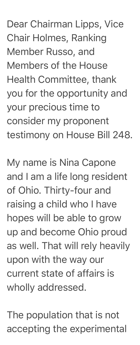Dear Chairman Lipps, Vice Chair Holmes, Ranking Member Russo, and Members of the House Health Committee, thank you for the opportunity and your precious time to consider my proponent testimony on House Bill 248.

My name is Nina Capone and I am a life long resident of Ohio. Thirty-four and raising a child who I have hopes will be able to grow up and become Ohio proud as well. That will rely heavily upon with the way our current state of affairs is wholly addressed.

The population that is not accepting the experimental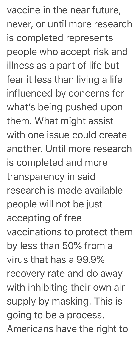vaccine in the near future, never, or until more research is completed represents people who accept risk and illness as a part of life but fear it less than living a life influenced by concerns for what's being pushed upon them. What might assist with one issue could create another. Until more research is completed and more transparency in said research is made available people will not be just accepting of free vaccinations to protect them by less than 50% from a virus that has a 99.9% recovery rate and do away with inhibiting their own air supply by masking. This is going to be a process. Americans have the right to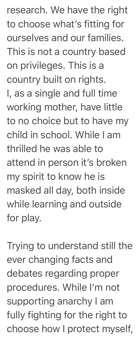research. We have the right to choose what's fitting for ourselves and our families. This is not a country based on privileges. This is a country built on rights. I, as a single and full time working mother, have little to no choice but to have my child in school. While I am thrilled he was able to attend in person it's broken my spirit to know he is masked all day, both inside while learning and outside for play.

Trying to understand still the ever changing facts and debates regarding proper procedures. While I'm not supporting anarchy I am fully fighting for the right to choose how I protect myself,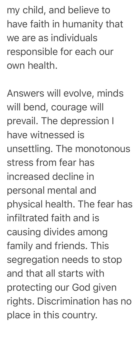my child, and believe to have faith in humanity that we are as individuals responsible for each our own health.

Answers will evolve, minds will bend, courage will prevail. The depression I have witnessed is unsettling. The monotonous stress from fear has increased decline in personal mental and physical health. The fear has infiltrated faith and is causing divides among family and friends. This segregation needs to stop and that all starts with protecting our God given rights. Discrimination has no place in this country.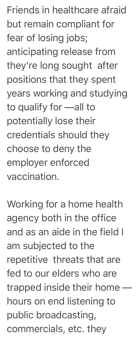Friends in healthcare afraid but remain compliant for fear of losing jobs; anticipating release from they're long sought after positions that they spent years working and studying to qualify for —all to potentially lose their credentials should they choose to deny the employer enforced vaccination.

Working for a home health agency both in the office and as an aide in the field I am subjected to the repetitive threats that are fed to our elders who are trapped inside their home hours on end listening to public broadcasting, commercials, etc. they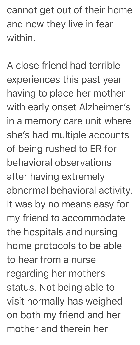cannot get out of their home and now they live in fear within.

A close friend had terrible experiences this past year having to place her mother with early onset Alzheimer's in a memory care unit where she's had multiple accounts of being rushed to ER for behavioral observations after having extremely abnormal behavioral activity. It was by no means easy for my friend to accommodate the hospitals and nursing home protocols to be able to hear from a nurse regarding her mothers status. Not being able to visit normally has weighed on both my friend and her mother and therein her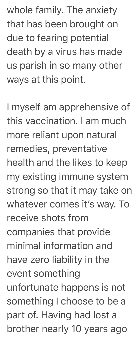whole family. The anxiety that has been brought on due to fearing potential death by a virus has made us parish in so many other ways at this point.

I myself am apprehensive of this vaccination. I am much more reliant upon natural remedies, preventative health and the likes to keep my existing immune system strong so that it may take on whatever comes it's way. To receive shots from companies that provide minimal information and have zero liability in the event something unfortunate happens is not something I choose to be a part of. Having had lost a brother nearly 10 years ago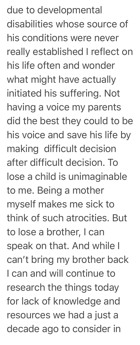due to developmental disabilities whose source of his conditions were never really established I reflect on his life often and wonder what might have actually initiated his suffering. Not having a voice my parents did the best they could to be his voice and save his life by making difficult decision after difficult decision. To lose a child is unimaginable to me. Being a mother myself makes me sick to think of such atrocities. But to lose a brother, I can speak on that. And while I can't bring my brother back I can and will continue to research the things today for lack of knowledge and resources we had a just a decade ago to consider in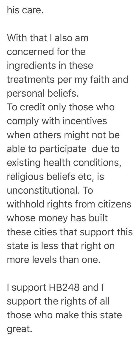his care.

With that I also am concerned for the ingredients in these treatments per my faith and personal beliefs.

To credit only those who comply with incentives when others might not be able to participate due to existing health conditions, religious beliefs etc, is unconstitutional. To withhold rights from citizens whose money has built these cities that support this state is less that right on more levels than one.

I support HB248 and I support the rights of all those who make this state great.